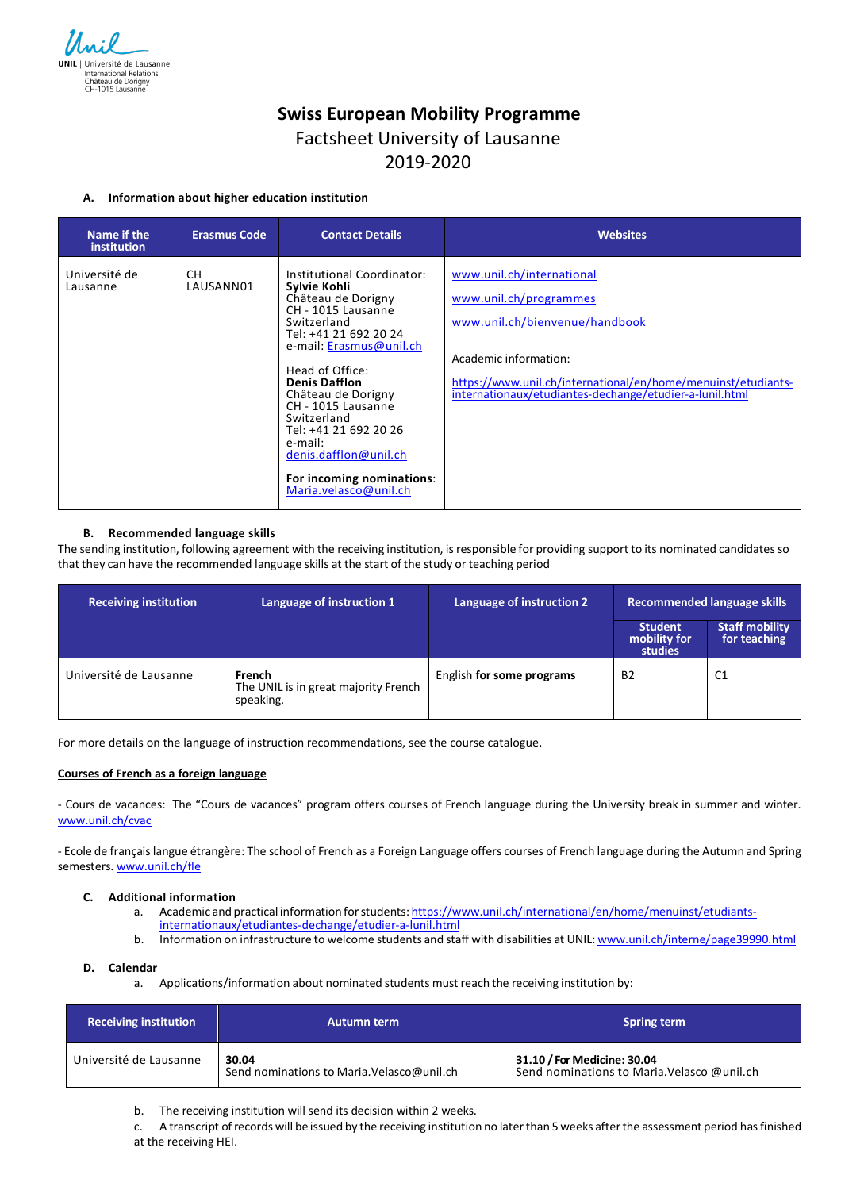

# **Swiss European Mobility Programme**

## Factsheet University of Lausanne

### 2019-2020

#### **A. Information about higher education institution**

| Name if the<br>institution | <b>Erasmus Code</b> | <b>Contact Details</b>                                                                                                                                                                                                                                                                                                                                                             | <b>Websites</b>                                                                                                                                                                                                                            |
|----------------------------|---------------------|------------------------------------------------------------------------------------------------------------------------------------------------------------------------------------------------------------------------------------------------------------------------------------------------------------------------------------------------------------------------------------|--------------------------------------------------------------------------------------------------------------------------------------------------------------------------------------------------------------------------------------------|
| Université de<br>Lausanne  | CH.<br>LAUSANN01    | Institutional Coordinator:<br>Sylvie Kohli<br>Château de Dorigny<br>CH - 1015 Lausanne<br>Switzerland<br>Tel: +41 21 692 20 24<br>e-mail: Erasmus@unil.ch<br>Head of Office:<br><b>Denis Dafflon</b><br>Château de Dorigny<br>CH - 1015 Lausanne<br>Switzerland<br>Tel: +41 21 692 20 26<br>e-mail:<br>denis.dafflon@unil.ch<br>For incoming nominations:<br>Maria.velasco@unil.ch | www.unil.ch/international<br>www.unil.ch/programmes<br>www.unil.ch/bienvenue/handbook<br>Academic information:<br>https://www.unil.ch/international/en/home/menuinst/etudiants-<br>internationaux/etudiantes-dechange/etudier-a-lunil.html |

#### **B. Recommended language skills**

The sending institution, following agreement with the receiving institution, is responsible for providing support to its nominated candidates so that they can have the recommended language skills at the start of the study or teaching period

| <b>Receiving institution</b> | Language of instruction 1                                   | Language of instruction 2 | Recommended language skills               |                                       |
|------------------------------|-------------------------------------------------------------|---------------------------|-------------------------------------------|---------------------------------------|
|                              |                                                             |                           | <b>Student</b><br>mobility for<br>studies | <b>Staff mobility</b><br>for teaching |
| Université de Lausanne       | French<br>The UNIL is in great majority French<br>speaking. | English for some programs | <b>B2</b>                                 | C <sub>1</sub>                        |

For more details on the language of instruction recommendations, see the course catalogue.

#### **Courses of French as a foreign language**

- Cours de vacances: The "Cours de vacances" program offers courses of French language during the University break in summer and winter. www.unil.ch/cvac

- Ecole de français langue étrangère: The school of French as a Foreign Language offers courses of French language during the Autumn and Spring semesters. www.unil.ch/fle

#### **C. Additional information**

- a. Academic and practical information for students: https://www.unil.ch/international/en/home/menuinst/etudiantsinternationaux/etudiantes-dechange/etudier-a-lunil.html
- b. Information on infrastructure to welcome students and staff with disabilities at UNIL: www.unil.ch/interne/page39990.html

#### **D. Calendar**

a. Applications/information about nominated students must reach the receiving institution by:

| <b>Receiving institution</b> | <b>Autumn term</b>                                  | <b>Spring term</b>                                                         |
|------------------------------|-----------------------------------------------------|----------------------------------------------------------------------------|
| Université de Lausanne       | 30.04<br>Send nominations to Maria. Velasco@unil.ch | 31.10 / For Medicine: 30.04<br>Send nominations to Maria. Velasco @unil.ch |

b. The receiving institution will send its decision within 2 weeks.

c. A transcript ofrecords will be issued by the receiving institution no laterthan 5 weeks afterthe assessment period hasfinished at the receiving HEI.